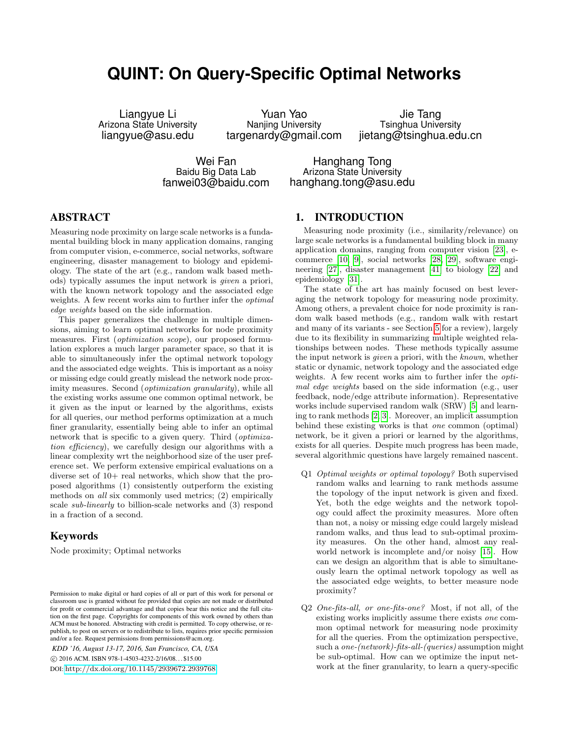# **QUINT: On Query-Specific Optimal Networks**

Liangyue Li Arizona State University liangyue@asu.edu

Yuan Yao Nanjing University targenardy@gmail.com

Jie Tang Tsinghua University jietang@tsinghua.edu.cn

Wei Fan Baidu Big Data Lab fanwei03@baidu.com

Hanghang Tong Arizona State University hanghang.tong@asu.edu

# ABSTRACT

Measuring node proximity on large scale networks is a fundamental building block in many application domains, ranging from computer vision, e-commerce, social networks, software engineering, disaster management to biology and epidemiology. The state of the art (e.g., random walk based methods) typically assumes the input network is given a priori, with the known network topology and the associated edge weights. A few recent works aim to further infer the optimal edge weights based on the side information.

This paper generalizes the challenge in multiple dimensions, aiming to learn optimal networks for node proximity measures. First (*optimization scope*), our proposed formulation explores a much larger parameter space, so that it is able to simultaneously infer the optimal network topology and the associated edge weights. This is important as a noisy or missing edge could greatly mislead the network node proximity measures. Second (*optimization granularity*), while all the existing works assume one common optimal network, be it given as the input or learned by the algorithms, exists for all queries, our method performs optimization at a much finer granularity, essentially being able to infer an optimal network that is specific to a given query. Third (optimization efficiency), we carefully design our algorithms with a linear complexity wrt the neighborhood size of the user preference set. We perform extensive empirical evaluations on a diverse set of  $10+$  real networks, which show that the proposed algorithms (1) consistently outperform the existing methods on all six commonly used metrics; (2) empirically scale sub-linearly to billion-scale networks and (3) respond in a fraction of a second.

# Keywords

Node proximity; Optimal networks

*KDD '16, August 13-17, 2016, San Francisco, CA, USA* c 2016 ACM. ISBN 978-1-4503-4232-2/16/08. . . \$15.00 DOI: <http://dx.doi.org/10.1145/2939672.2939768>

# 1. INTRODUCTION

Measuring node proximity (i.e., similarity/relevance) on large scale networks is a fundamental building block in many application domains, ranging from computer vision [\[23\]](#page-9-0), ecommerce [\[10,](#page-9-1) [9\]](#page-9-2), social networks [\[28,](#page-9-3) [29\]](#page-9-4), software engineering [\[27\]](#page-9-5), disaster management [\[41\]](#page-9-6) to biology [\[22\]](#page-9-7) and epidemiology [\[31\]](#page-9-8).

The state of the art has mainly focused on best leveraging the network topology for measuring node proximity. Among others, a prevalent choice for node proximity is random walk based methods (e.g., random walk with restart and many of its variants - see Section [5](#page-6-0) for a review), largely due to its flexibility in summarizing multiple weighted relationships between nodes. These methods typically assume the input network is given a priori, with the known, whether static or dynamic, network topology and the associated edge weights. A few recent works aim to further infer the *opti*mal edge weights based on the side information (e.g., user feedback, node/edge attribute information). Representative works include supervised random walk (SRW) [\[5\]](#page-9-9) and learning to rank methods [\[2,](#page-8-0) [3\]](#page-9-10). Moreover, an implicit assumption behind these existing works is that one common (optimal) network, be it given a priori or learned by the algorithms, exists for all queries. Despite much progress has been made, several algorithmic questions have largely remained nascent.

- Q1 Optimal weights or optimal topology? Both supervised random walks and learning to rank methods assume the topology of the input network is given and fixed. Yet, both the edge weights and the network topology could affect the proximity measures. More often than not, a noisy or missing edge could largely mislead random walks, and thus lead to sub-optimal proximity measures. On the other hand, almost any realworld network is incomplete and/or noisy [\[15\]](#page-9-11). How can we design an algorithm that is able to simultaneously learn the optimal network topology as well as the associated edge weights, to better measure node proximity?
- Q2 One-fits-all, or one-fits-one? Most, if not all, of the existing works implicitly assume there exists one common optimal network for measuring node proximity for all the queries. From the optimization perspective, such a *one-(network)-fits-all-(queries)* assumption might be sub-optimal. How can we optimize the input network at the finer granularity, to learn a query-specific

Permission to make digital or hard copies of all or part of this work for personal or classroom use is granted without fee provided that copies are not made or distributed for profit or commercial advantage and that copies bear this notice and the full citation on the first page. Copyrights for components of this work owned by others than ACM must be honored. Abstracting with credit is permitted. To copy otherwise, or republish, to post on servers or to redistribute to lists, requires prior specific permission and/or a fee. Request permissions from permissions@acm.org.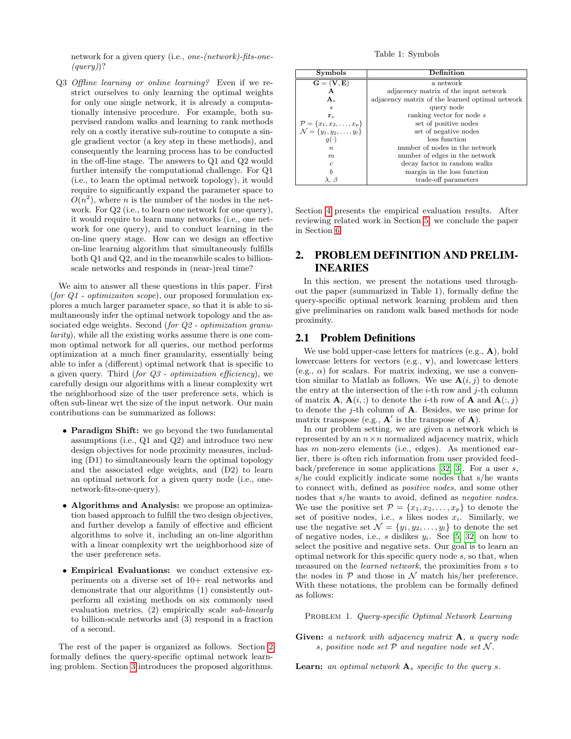network for a given query (i.e., one-(network)-fits-one-  $(query)$ ?

Q3 Offline learning or online learning? Even if we restrict ourselves to only learning the optimal weights for only one single network, it is already a computationally intensive procedure. For example, both supervised random walks and learning to rank methods rely on a costly iterative sub-routine to compute a single gradient vector (a key step in these methods), and consequently the learning process has to be conducted in the off-line stage. The answers to Q1 and Q2 would further intensify the computational challenge. For Q1 (i.e., to learn the optimal network topology), it would require to significantly expand the parameter space to  $O(n^2)$ , where *n* is the number of the nodes in the network. For Q2 (i.e., to learn one network for one query), it would require to learn many networks (i.e., one network for one query), and to conduct learning in the on-line query stage. How can we design an effective on-line learning algorithm that simultaneously fulfills both Q1 and Q2, and in the meanwhile scales to billionscale networks and responds in (near-)real time?

We aim to answer all these questions in this paper. First (for  $Q1$  - optimizaiton scope), our proposed formulation explores a much larger parameter space, so that it is able to simultaneously infer the optimal network topology and the associated edge weights. Second (for  $Q2$  - optimization granularity), while all the existing works assume there is one common optimal network for all queries, our method performs optimization at a much finer granularity, essentially being able to infer a (different) optimal network that is specific to a given query. Third (for  $Q3$  - optimization efficiency), we carefully design our algorithms with a linear complexity wrt the neighborhood size of the user preference sets, which is often sub-linear wrt the size of the input network. Our main contributions can be summarized as follows:

- Paradigm Shift: we go beyond the two fundamental assumptions (i.e., Q1 and Q2) and introduce two new design objectives for node proximity measures, including (D1) to simultaneously learn the optimal topology and the associated edge weights, and (D2) to learn an optimal network for a given query node (i.e., onenetwork-fits-one-query).
- Algorithms and Analysis: we propose an optimization based approach to fulfill the two design objectives, and further develop a family of effective and efficient algorithms to solve it, including an on-line algorithm with a linear complexity wrt the neighborhood size of the user preference sets.
- Empirical Evaluations: we conduct extensive experiments on a diverse set of 10+ real networks and demonstrate that our algorithms (1) consistently outperform all existing methods on six commonly used evaluation metrics, (2) empirically scale sub-linearly to billion-scale networks and (3) respond in a fraction of a second.

The rest of the paper is organized as follows. Section [2](#page-1-0) formally defines the query-specific optimal network learning problem. Section [3](#page-2-0) introduces the proposed algorithms.

Table 1: Symbols

| <b>Symbols</b>                                                                       | Definition                                      |  |  |
|--------------------------------------------------------------------------------------|-------------------------------------------------|--|--|
| $\mathbf{G} = (\mathbf{V}, \mathbf{E})$                                              | a network                                       |  |  |
| Α                                                                                    | adjacency matrix of the input network           |  |  |
| $\mathbf{A}_s$                                                                       | adjacency matrix of the learned optimal network |  |  |
| $\mathcal{S}_{\mathcal{S}}$                                                          | query node                                      |  |  |
| ${\bf r}_s$                                                                          | ranking vector for node s                       |  |  |
| $\mathcal{P} = \{x_1, x_2, \dots, x_p\}$<br>$\mathcal{N} = \{y_1, y_2, \dots, y_l\}$ | set of positive nodes                           |  |  |
|                                                                                      | set of negative nodes                           |  |  |
| $g(\cdot)$                                                                           | loss function                                   |  |  |
| $\boldsymbol{n}$                                                                     | number of nodes in the network                  |  |  |
| m                                                                                    | number of edges in the network                  |  |  |
| $\epsilon$                                                                           | decay factor in random walks                    |  |  |
| b                                                                                    | margin in the loss function                     |  |  |
| $\lambda, \beta$                                                                     | trade-off parameters                            |  |  |

Section [4](#page-5-0) presents the empirical evaluation results. After reviewing related work in Section [5,](#page-6-0) we conclude the paper in Section [6.](#page-8-1)

# <span id="page-1-0"></span>2. PROBLEM DEFINITION AND PRELIM-INEARIES

In this section, we present the notations used throughout the paper (summarized in Table 1), formally define the query-specific optimal network learning problem and then give preliminaries on random walk based methods for node proximity.

## 2.1 Problem Definitions

We use bold upper-case letters for matrices  $(e.g., A)$ , bold lowercase letters for vectors (e.g., v), and lowercase letters (e.g.,  $\alpha$ ) for scalars. For matrix indexing, we use a convention similar to Matlab as follows. We use  $\mathbf{A}(i, j)$  to denote the entry at the intersection of the  $i$ -th row and  $j$ -th column of matrix **A**,  $\mathbf{A}(i,:)$  to denote the *i*-th row of **A** and  $\mathbf{A}(:,j)$ to denote the  $j$ -th column of  $A$ . Besides, we use prime for matrix transpose (e.g.,  $A'$  is the transpose of  $A$ ).

In our problem setting, we are given a network which is represented by an  $n \times n$  normalized adjacency matrix, which has *m* non-zero elements (i.e., edges). As mentioned earlier, there is often rich information from user provided feedback/preference in some applications [\[32,](#page-9-12) [3\]](#page-9-10). For a user s, s/he could explicitly indicate some nodes that s/he wants to connect with, defined as positive nodes, and some other nodes that s/he wants to avoid, defined as negative nodes. We use the positive set  $\mathcal{P} = \{x_1, x_2, \ldots, x_p\}$  to denote the set of positive nodes, i.e.,  $s$  likes nodes  $x_i$ . Similarly, we use the negative set  $\mathcal{N} = \{y_1, y_2, \ldots, y_l\}$  to denote the set of negative nodes, i.e., s dislikes  $y_i$ . See [\[5,](#page-9-9) [32\]](#page-9-12) on how to select the positive and negative sets. Our goal is to learn an optimal network for this specific query node s, so that, when measured on the learned network, the proximities from s to the nodes in  $P$  and those in  $\mathcal N$  match his/her preference. With these notations, the problem can be formally defined as follows:

PROBLEM 1. Query-specific Optimal Network Learning

Given: a network with adjacency matrix A, a query node s, positive node set  $P$  and negative node set  $N$ .

**Learn:** an optimal network  $A_s$  specific to the query s.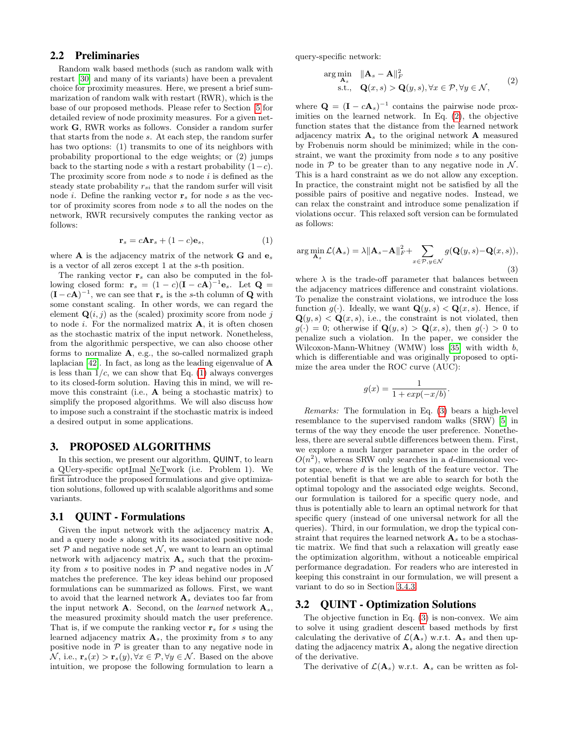# 2.2 Preliminaries

Random walk based methods (such as random walk with restart [\[30\]](#page-9-13) and many of its variants) have been a prevalent choice for proximity measures. Here, we present a brief summarization of random walk with restart (RWR), which is the base of our proposed methods. Please refer to Section [5](#page-6-0) for detailed review of node proximity measures. For a given network G, RWR works as follows. Consider a random surfer that starts from the node s. At each step, the random surfer has two options: (1) transmits to one of its neighbors with probability proportional to the edge weights; or (2) jumps back to the starting node s with a restart probability  $(1-c)$ . The proximity score from node  $s$  to node  $i$  is defined as the steady state probability  $r_{si}$  that the random surfer will visit node *i*. Define the ranking vector  $\mathbf{r}_s$  for node *s* as the vector of proximity scores from node s to all the nodes on the network, RWR recursively computes the ranking vector as follows:

<span id="page-2-1"></span>
$$
\mathbf{r}_s = c\mathbf{A}\mathbf{r}_s + (1-c)\mathbf{e}_s,\tag{1}
$$

where **A** is the adjacency matrix of the network **G** and  $e_s$ is a vector of all zeros except 1 at the s-th position.

The ranking vector  $r_s$  can also be computed in the following closed form:  $\mathbf{r}_s = (1 - c)(\mathbf{I} - c\mathbf{A})^{-1}\mathbf{e}_s$ . Let  $\mathbf{Q} =$  $(I - cA)^{-1}$ , we can see that  $\mathbf{r}_s$  is the s-th column of **Q** with some constant scaling. In other words, we can regard the element  $\mathbf{Q}(i, j)$  as the (scaled) proximity score from node j to node  $i$ . For the normalized matrix  $A$ , it is often chosen as the stochastic matrix of the input network. Nonetheless, from the algorithmic perspective, we can also choose other forms to normalize  $A$ , e.g., the so-called normalized graph laplacian [\[42\]](#page-9-14). In fact, as long as the leading eigenvalue of A is less than  $1/c$ , we can show that Eq. [\(1\)](#page-2-1) always converges to its closed-form solution. Having this in mind, we will remove this constraint (i.e., A being a stochastic matrix) to simplify the proposed algorithms. We will also discuss how to impose such a constraint if the stochastic matrix is indeed a desired output in some applications.

## <span id="page-2-0"></span>3. PROPOSED ALGORITHMS

In this section, we present our algorithm, QUINT, to learn a QUery-specific optImal NeTwork (i.e. Problem 1). We first introduce the proposed formulations and give optimization solutions, followed up with scalable algorithms and some variants.

#### 3.1 QUINT - Formulations

Given the input network with the adjacency matrix A, and a query node s along with its associated positive node set  $P$  and negative node set  $N$ , we want to learn an optimal network with adjacency matrix  $A_s$  such that the proximity from s to positive nodes in  $P$  and negative nodes in  $\mathcal N$ matches the preference. The key ideas behind our proposed formulations can be summarized as follows. First, we want to avoid that the learned network  $A_s$  deviates too far from the input network **A**. Second, on the *learned* network  $A_s$ , the measured proximity should match the user preference. That is, if we compute the ranking vector  $\mathbf{r}_s$  for s using the learned adjacency matrix  $A_s$ , the proximity from s to any positive node in  $P$  is greater than to any negative node in  $\mathcal{N},$  i.e.,  $\mathbf{r}_s(x) > \mathbf{r}_s(y), \forall x \in \mathcal{P}, \forall y \in \mathcal{N}$ . Based on the above intuition, we propose the following formulation to learn a query-specific network:

<span id="page-2-2"></span>
$$
\arg\min_{\mathbf{A}_s} \quad \|\mathbf{A}_s - \mathbf{A}\|_F^2 \text{s.t.,} \quad \mathbf{Q}(x, s) > \mathbf{Q}(y, s), \forall x \in \mathcal{P}, \forall y \in \mathcal{N},
$$
\n(2)

where  $\mathbf{Q} = (\mathbf{I} - c\mathbf{A}_s)^{-1}$  contains the pairwise node proximities on the learned network. In Eq. [\(2\)](#page-2-2), the objective function states that the distance from the learned network adjacency matrix  $A_s$  to the original network A measured by Frobenuis norm should be minimized; while in the constraint, we want the proximity from node s to any positive node in  $\mathcal P$  to be greater than to any negative node in  $\mathcal N$ . This is a hard constraint as we do not allow any exception. In practice, the constraint might not be satisfied by all the possible pairs of positive and negative nodes. Instead, we can relax the constraint and introduce some penalization if violations occur. This relaxed soft version can be formulated as follows:

<span id="page-2-3"></span>
$$
\arg\min_{\mathbf{A}_s} \mathcal{L}(\mathbf{A}_s) = \lambda \|\mathbf{A}_s - \mathbf{A}\|_F^2 + \sum_{x \in \mathcal{P}, y \in \mathcal{N}} g(\mathbf{Q}(y, s) - \mathbf{Q}(x, s)),
$$
\n(3)

where  $\lambda$  is the trade-off parameter that balances between the adjacency matrices difference and constraint violations. To penalize the constraint violations, we introduce the loss function  $g(\cdot)$ . Ideally, we want  $\mathbf{Q}(y, s) < \mathbf{Q}(x, s)$ . Hence, if  $\mathbf{Q}(y, s) < \mathbf{Q}(x, s)$ , i.e., the constraint is not violated, then  $g(\cdot) = 0$ ; otherwise if  $\mathbf{Q}(y, s) > \mathbf{Q}(x, s)$ , then  $g(\cdot) > 0$  to penalize such a violation. In the paper, we consider the Wilcoxon-Mann-Whitney (WMW) loss [\[35\]](#page-9-15) with width b, which is differentiable and was originally proposed to optimize the area under the ROC curve (AUC):

$$
g(x) = \frac{1}{1 + exp(-x/b)}.
$$

Remarks: The formulation in Eq. [\(3\)](#page-2-3) bears a high-level resemblance to the supervised random walks (SRW) [\[5\]](#page-9-9) in terms of the way they encode the user preference. Nonetheless, there are several subtle differences between them. First, we explore a much larger parameter space in the order of  $O(n^2)$ , whereas SRW only searches in a d-dimensional vector space, where  $d$  is the length of the feature vector. The potential benefit is that we are able to search for both the optimal topology and the associated edge weights. Second, our formulation is tailored for a specific query node, and thus is potentially able to learn an optimal network for that specific query (instead of one universal network for all the queries). Third, in our formulation, we drop the typical constraint that requires the learned network  $A_s$  to be a stochastic matrix. We find that such a relaxation will greatly ease the optimization algorithm, without a noticeable empirical performance degradation. For readers who are interested in keeping this constraint in our formulation, we will present a variant to do so in Section [3.4.3.](#page-5-1)

# 3.2 QUINT - Optimization Solutions

The objective function in Eq. [\(3\)](#page-2-3) is non-convex. We aim to solve it using gradient descent based methods by first calculating the derivative of  $\mathcal{L}(\mathbf{A}_s)$  w.r.t.  $\mathbf{A}_s$  and then updating the adjacency matrix  $A_s$  along the negative direction of the derivative.

The derivative of  $\mathcal{L}(\mathbf{A}_s)$  w.r.t.  $\mathbf{A}_s$  can be written as fol-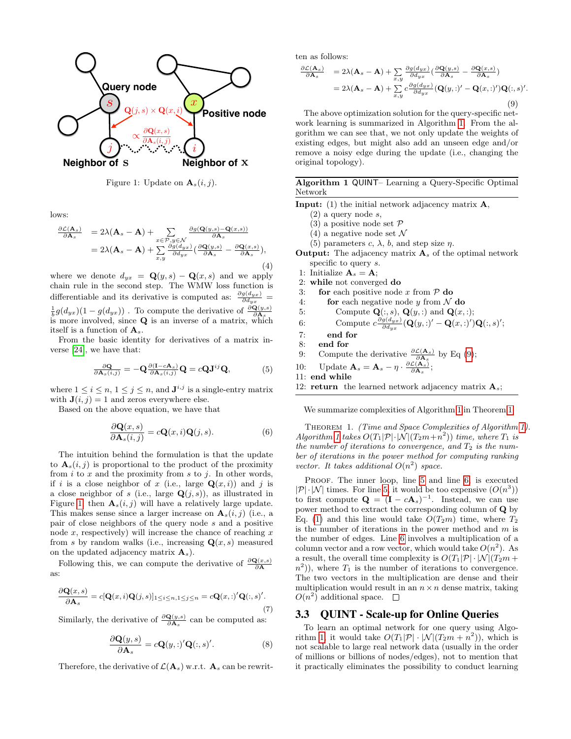<span id="page-3-0"></span>

Figure 1: Update on  $\mathbf{A}_s(i, j)$ .

lows:

$$
\frac{\partial \mathcal{L}(\mathbf{A}_s)}{\partial \mathbf{A}_s} = 2\lambda(\mathbf{A}_s - \mathbf{A}) + \sum_{x \in \mathcal{P}, y \in \mathcal{N}} \frac{\partial g(\mathbf{Q}(y, s) - \mathbf{Q}(x, s))}{\partial \mathbf{A}_s}
$$
  
=  $2\lambda(\mathbf{A}_s - \mathbf{A}) + \sum_{x, y} \frac{\partial g(d_{yx})}{\partial d_{yx}} \left(\frac{\partial \mathbf{Q}(y, s)}{\partial \mathbf{A}_s} - \frac{\partial \mathbf{Q}(x, s)}{\partial \mathbf{A}_s}\right),$  (4)

where we denote  $d_{yx} = \mathbf{Q}(y, s) - \mathbf{Q}(x, s)$  and we apply chain rule in the second step. The WMW loss function is differentiable and its derivative is computed as:  $\frac{\partial g(d_{yx})}{\partial d_{yx}}$  =  $\frac{1}{b}g(d_{yx})(1-g(d_{yx}))$ . To compute the derivative of  $\frac{\partial \mathbf{Q}(y,s)}{\partial \mathbf{A}_s}$ . is more involved, since  $Q$  is an inverse of a matrix, which itself is a function of As.

From the basic identity for derivatives of a matrix inverse [\[24\]](#page-9-16), we have that:

$$
\frac{\partial \mathbf{Q}}{\partial \mathbf{A}_s(i,j)} = -\mathbf{Q} \frac{\partial (\mathbf{I} - c\mathbf{A}_s)}{\partial \mathbf{A}_s(i,j)} \mathbf{Q} = c\mathbf{Q} \mathbf{J}^{ij} \mathbf{Q},\tag{5}
$$

where  $1 \leq i \leq n, 1 \leq j \leq n$ , and  $\mathbf{J}^{i,j}$  is a single-entry matrix with  $J(i, j) = 1$  and zeros everywhere else.

Based on the above equation, we have that

$$
\frac{\partial \mathbf{Q}(x,s)}{\partial \mathbf{A}_s(i,j)} = c\mathbf{Q}(x,i)\mathbf{Q}(j,s).
$$
 (6)

The intuition behind the formulation is that the update to  $\mathbf{A}_s(i, j)$  is proportional to the product of the proximity from  $i$  to  $x$  and the proximity from  $s$  to  $j$ . In other words, if i is a close neighbor of x (i.e., large  $\mathbf{Q}(x, i)$ ) and j is a close neighbor of s (i.e., large  $\mathbf{Q}(j,s)$ ), as illustrated in Figure [1,](#page-3-0) then  $\mathbf{A}_s(i, j)$  will have a relatively large update. This makes sense since a larger increase on  $\mathbf{A}_s(i, j)$  (i.e., a pair of close neighbors of the query node s and a positive node  $x$ , respectively) will increase the chance of reaching  $x$ from s by random walks (i.e., increasing  $\mathbf{Q}(x, s)$  measured on the updated adjacency matrix  $A_s$ ).

Following this, we can compute the derivative of  $\frac{\partial \mathbf{Q}(x,s)}{\partial \mathbf{A}}$ as:

$$
\frac{\partial \mathbf{Q}(x,s)}{\partial \mathbf{A}_s} = c[\mathbf{Q}(x,i)\mathbf{Q}(j,s)]_{1 \le i \le n, 1 \le j \le n} = c\mathbf{Q}(x,:)' \mathbf{Q}(:,s)'. \tag{7}
$$

Similarly, the derivative of  $\frac{\partial \mathbf{Q}(y,s)}{\partial \mathbf{A}_s}$  can be computed as:

$$
\frac{\partial \mathbf{Q}(y,s)}{\partial \mathbf{A}_s} = c\mathbf{Q}(y,:)' \mathbf{Q}(:,s)'. \tag{8}
$$

Therefore, the derivative of  $\mathcal{L}(\mathbf{A}_s)$  w.r.t.  $\mathbf{A}_s$  can be rewrit-

ten as follows:

<span id="page-3-2"></span>
$$
\frac{\partial \mathcal{L}(\mathbf{A}_s)}{\partial \mathbf{A}_s} = 2\lambda(\mathbf{A}_s - \mathbf{A}) + \sum_{x,y} \frac{\partial g(d_{yx})}{\partial d_{yx}} \left(\frac{\partial \mathbf{Q}(y,s)}{\partial \mathbf{A}_s} - \frac{\partial \mathbf{Q}(x,s)}{\partial \mathbf{A}_s}\right)
$$
  
= 2\lambda(\mathbf{A}\_s - \mathbf{A}) + \sum\_{x,y} c \frac{\partial g(d\_{yx})}{\partial d\_{yx}} (\mathbf{Q}(y,:)' - \mathbf{Q}(x,:)')\mathbf{Q}(:,s)' (9)

.

The above optimization solution for the query-specific network learning is summarized in Algorithm [1.](#page-3-1) From the algorithm we can see that, we not only update the weights of existing edges, but might also add an unseen edge and/or remove a noisy edge during the update (i.e., changing the original topology).

<span id="page-3-1"></span>Algorithm 1 QUINT– Learning a Query-Specific Optimal Network

**Input:** (1) the initial network adjacency matrix  $\mathbf{A}$ ,

- $(2)$  a query node s,
- (3) a positive node set  $\mathcal P$
- (4) a negative node set  $\mathcal N$
- (5) parameters c,  $\lambda$ , b, and step size  $\eta$ .

**Output:** The adjacency matrix  $A_s$  of the optimal network specific to query s.

- 1: Initialize  $\mathbf{A}_s = \mathbf{A}$ ;
- 2: while not converged do
- 3: for each positive node x from  $P$  do
- 4: **for** each negative node y from  $\mathcal N$  do
- <span id="page-3-5"></span><span id="page-3-4"></span>5: Compute  $\mathbf{Q}(:,s), \mathbf{Q}(y,:)$  and  $\mathbf{Q}(x,:)$ ;
- 6: Compute  $c \frac{\partial g(d_{yx})}{\partial d_{yx}} (\mathbf{Q}(y, :)' \mathbf{Q}(x, :)') \mathbf{Q}(:, s)';$
- 7: end for
- 8: end for
- 9: Compute the derivative  $\frac{\partial \mathcal{L}(\mathbf{A}_s)}{\partial \mathbf{A}_s}$  by Eq [\(9\)](#page-3-2);
- 10: Update  $\mathbf{A}_s = \mathbf{A}_s \eta \cdot \frac{\partial \mathcal{L}(\mathbf{A}_s)}{\partial \mathbf{A}_s};$
- 11: end while
- 12: **return** the learned network adjacency matrix  $A_s$ ;

We summarize complexities of Algorithm [1](#page-3-1) in Theorem [1.](#page-3-3)

<span id="page-3-3"></span>THEOREM 1. (Time and Space Complexities of Algorithm [1\)](#page-3-1). Algorithm [1](#page-3-1) takes  $O(T_1|\mathcal{P}|\cdot|\mathcal{N}|(T_2m+n^2))$  time, where  $T_1$  is the number of iterations to convergence, and  $T_2$  is the number of iterations in the power method for computing ranking vector. It takes additional  $O(n^2)$  space.

PROOF. The inner loop, line [5](#page-3-4) and line [6,](#page-3-5) is executed  $|\mathcal{P}|\cdot|\mathcal{N}|$  times. For line [5,](#page-3-4) it would be too expensive  $(O(n^3))$ to first compute  $\mathbf{Q} = (\mathbf{I} - c\mathbf{A}_s)^{-1}$ . Instead, we can use power method to extract the corresponding column of Q by Eq. [\(1\)](#page-2-1) and this line would take  $O(T_2m)$  time, where  $T_2$ is the number of iterations in the power method and  $m$  is the number of edges. Line [6](#page-3-5) involves a multiplication of a column vector and a row vector, which would take  $O(n^2)$ . As a result, the overall time complexity is  $O(T_1|\mathcal{P}|\cdot|\mathcal{N}|(T_2m +$  $n^2$ )), where  $T_1$  is the number of iterations to convergence. The two vectors in the multiplication are dense and their multiplication would result in an  $n \times n$  dense matrix, taking  $O(n^2)$  additional space.

#### 3.3 QUINT - Scale-up for Online Queries

To learn an optimal network for one query using Algo-rithm [1,](#page-3-1) it would take  $O(T_1|\mathcal{P}|\cdot |\mathcal{N}|(T_2m+n^2))$ , which is not scalable to large real network data (usually in the order of millions or billions of nodes/edges), not to mention that it practically eliminates the possibility to conduct learning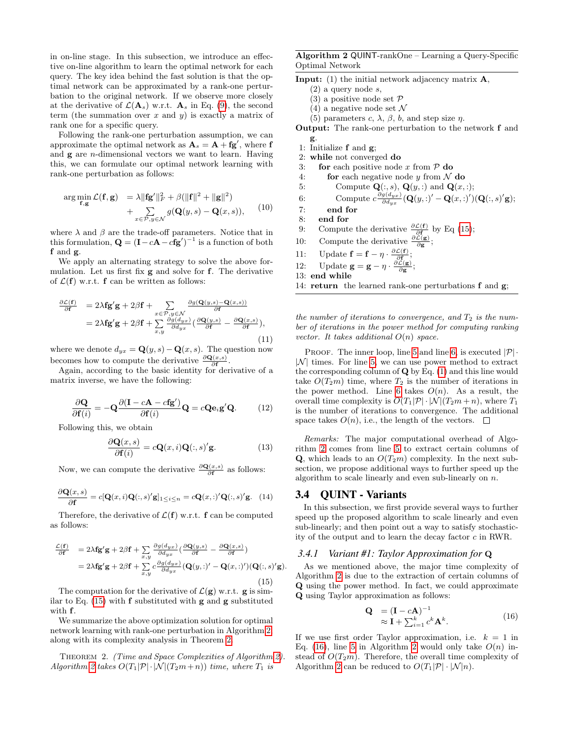in on-line stage. In this subsection, we introduce an effective on-line algorithm to learn the optimal network for each query. The key idea behind the fast solution is that the optimal network can be approximated by a rank-one perturbation to the original network. If we observe more closely at the derivative of  $\mathcal{L}(\mathbf{A}_s)$  w.r.t.  $\mathbf{A}_s$  in Eq. [\(9\)](#page-3-2), the second term (the summation over x and y) is exactly a matrix of rank one for a specific query.

Following the rank-one perturbation assumption, we can approximate the optimal network as  $\mathbf{A}_s = \mathbf{A} + \mathbf{fg}'$ , where f and  $g$  are *n*-dimensional vectors we want to learn. Having this, we can formulate our optimal network learning with rank-one perturbation as follows:

$$
\arg\min_{\mathbf{f},\mathbf{g}} \mathcal{L}(\mathbf{f},\mathbf{g}) = \lambda \|\mathbf{f}\mathbf{g}'\|_F^2 + \beta (\|\mathbf{f}\|^2 + \|\mathbf{g}\|^2) + \sum_{x \in \mathcal{P}, y \in \mathcal{N}} g(\mathbf{Q}(y,s) - \mathbf{Q}(x,s)), \quad (10)
$$

where  $\lambda$  and  $\beta$  are the trade-off parameters. Notice that in this formulation,  $\mathbf{Q} = (\mathbf{I} - c\mathbf{A} - c\mathbf{fg}')^{-1}$  is a function of both f and g.

We apply an alternating strategy to solve the above formulation. Let us first fix g and solve for f. The derivative of  $\mathcal{L}(\mathbf{f})$  w.r.t.  $\mathbf{f}$  can be written as follows:

$$
\frac{\partial \mathcal{L}(\mathbf{f})}{\partial \mathbf{f}} = 2\lambda \mathbf{fg}'\mathbf{g} + 2\beta \mathbf{f} + \sum_{x \in \mathcal{P}, y \in \mathcal{N}} \frac{\partial g(\mathbf{Q}(y, s) - \mathbf{Q}(x, s))}{\partial \mathbf{f}} \n= 2\lambda \mathbf{fg}'\mathbf{g} + 2\beta \mathbf{f} + \sum_{x, y} \frac{\partial g(d_{yx})}{\partial d_{yx}} \left( \frac{\partial \mathbf{Q}(y, s)}{\partial \mathbf{f}} - \frac{\partial \mathbf{Q}(x, s)}{\partial \mathbf{f}} \right),
$$
\n(11)

where we denote  $d_{yx} = \mathbf{Q}(y, s) - \mathbf{Q}(x, s)$ . The question now becomes how to compute the derivative  $\frac{\partial \mathbf{Q}(x,s)}{\partial \mathbf{f}}$ .

Again, according to the basic identity for derivative of a matrix inverse, we have the following:

$$
\frac{\partial \mathbf{Q}}{\partial \mathbf{f}(i)} = -\mathbf{Q} \frac{\partial (\mathbf{I} - c\mathbf{A} - c\mathbf{f}\mathbf{g}')}{\partial \mathbf{f}(i)} \mathbf{Q} = c\mathbf{Q} \mathbf{e}_i \mathbf{g}' \mathbf{Q}.
$$
 (12)

Following this, we obtain

$$
\frac{\partial \mathbf{Q}(x,s)}{\partial \mathbf{f}(i)} = c\mathbf{Q}(x,i)\mathbf{Q}(:,s)'\mathbf{g}.
$$
 (13)

Now, we can compute the derivative  $\frac{\partial \mathbf{Q}(x,s)}{\partial \mathbf{f}}$  as follows:

$$
\frac{\partial \mathbf{Q}(x,s)}{\partial \mathbf{f}} = c[\mathbf{Q}(x,i)\mathbf{Q}(:,s)'\mathbf{g}]_{1 \le i \le n} = c\mathbf{Q}(x,:)'\mathbf{Q}(:,s)'\mathbf{g}.
$$
 (14)

Therefore, the derivative of  $\mathcal{L}(\mathbf{f})$  w.r.t.  $\mathbf{f}$  can be computed as follows:

<span id="page-4-0"></span>
$$
\frac{\mathcal{L}(\mathbf{f})}{\partial \mathbf{f}} = 2\lambda \mathbf{fg}'\mathbf{g} + 2\beta \mathbf{f} + \sum_{x,y} \frac{\partial g(d_{yx})}{\partial d_{yx}} \left( \frac{\partial \mathbf{Q}(y,s)}{\partial \mathbf{f}} - \frac{\partial \mathbf{Q}(x,s)}{\partial \mathbf{f}} \right)
$$
  
=  $2\lambda \mathbf{fg}'\mathbf{g} + 2\beta \mathbf{f} + \sum_{x,y} c \frac{\partial g(d_{yx})}{\partial d_{yx}} (\mathbf{Q}(y,:)' - \mathbf{Q}(x,:)') (\mathbf{Q}(:,s)'\mathbf{g}).$  (15)

The computation for the derivative of  $\mathcal{L}(\mathbf{g})$  w.r.t.  $\mathbf{g}$  is similar to Eq. [\(15\)](#page-4-0) with f substituted with g and g substituted with f.

We summarize the above optimization solution for optimal network learning with rank-one perturbation in Algorithm [2,](#page-4-1) along with its complexity analysis in Theorem [2.](#page-4-2)

<span id="page-4-2"></span>THEOREM 2. (Time and Space Complexities of Algorithm [2\)](#page-4-1). Algorithm [2](#page-4-1) takes  $O(T_1|\mathcal{P}|\cdot|\mathcal{N}|(T_2m+n))$  time, where  $T_1$  is

### <span id="page-4-1"></span>Algorithm 2 QUINT-rankOne – Learning a Query-Specific Optimal Network

- **Input:** (1) the initial network adjacency matrix  $\mathbf{A}$ ,
	- $(2)$  a query node s,
	- (3) a positive node set  $\mathcal P$
	- $(4)$  a negative node set N
	- (5) parameters c,  $\lambda$ ,  $\beta$ ,  $b$ , and step size  $\eta$ .
- Output: The rank-one perturbation to the network f and g.
- 1: Initialize f and g;
- 2: while not converged do
- 3: for each positive node x from  $P$  do
- 4: **for** each negative node y from  $\mathcal N$  do
- <span id="page-4-4"></span><span id="page-4-3"></span>5: Compute  $\mathbf{Q}(:,s), \mathbf{Q}(y, :)$  and  $\mathbf{Q}(x, :);$
- 6: Compute  $c \frac{\partial g(d_{yx})}{\partial d_{yx}} (\mathbf{Q}(y,:)' \mathbf{Q}(x,:)') (\mathbf{Q}(:, s)'\mathbf{g});$
- 7: end for
- 8: end for
- 9: Compute the derivative  $\frac{\partial \mathcal{L}(\mathbf{f})}{\partial \mathbf{f}}$  by Eq [\(15\)](#page-4-0);
- 10: Compute the derivative  $\frac{\partial \mathcal{L}(\mathbf{g})}{\partial \mathbf{g}}$ ;
- 11: Update  $\mathbf{f} = \mathbf{f} \eta \cdot \frac{\partial \mathcal{L}(\mathbf{f})}{\partial \mathbf{f}}$ ;
- 12: Update  $\mathbf{g} = \mathbf{g} \eta \cdot \frac{\partial \mathcal{L}(\mathbf{g})}{\partial \mathbf{g}}$ ;
- 13: end while
- 14: return the learned rank-one perturbations f and g;

the number of iterations to convergence, and  $T_2$  is the number of iterations in the power method for computing ranking vector. It takes additional  $O(n)$  space.

PROOF. The inner loop, line [5](#page-4-3) and line [6,](#page-4-4) is executed  $|\mathcal{P}|\cdot$  $|\mathcal{N}|$  times. For line [5,](#page-4-3) we can use power method to extract the corresponding column of  $Q$  by Eq.  $(1)$  and this line would take  $O(T_2m)$  time, where  $T_2$  is the number of iterations in the power method. Line [6](#page-4-4) takes  $O(n)$ . As a result, the overall time complexity is  $O(T_1|\mathcal{P}|\cdot |\mathcal{N}|(T_2m+n))$ , where  $T_1$ is the number of iterations to convergence. The additional space takes  $O(n)$ , i.e., the length of the vectors.  $\Box$ 

Remarks: The major computational overhead of Algorithm [2](#page-4-1) comes from line [5](#page-4-3) to extract certain columns of **Q**, which leads to an  $O(T_2m)$  complexity. In the next subsection, we propose additional ways to further speed up the algorithm to scale linearly and even sub-linearly on n.

## 3.4 QUINT - Variants

In this subsection, we first provide several ways to further speed up the proposed algorithm to scale linearly and even sub-linearly; and then point out a way to satisfy stochasticity of the output and to learn the decay factor c in RWR.

#### *3.4.1 Variant #1: Taylor Approximation for* Q

As we mentioned above, the major time complexity of Algorithm [2](#page-4-1) is due to the extraction of certain columns of Q using the power method. In fact, we could approximate Q using Taylor approximation as follows:

<span id="page-4-5"></span>
$$
\mathbf{Q} = (\mathbf{I} - c\mathbf{A})^{-1} \n\approx \mathbf{I} + \sum_{i=1}^{k} c^{k} \mathbf{A}^{k}.
$$
\n(16)

If we use first order Taylor approximation, i.e.  $k = 1$  in Eq. [\(16\)](#page-4-5), line [5](#page-4-3) in Algorithm [2](#page-4-1) would only take  $O(n)$  instead of  $O(T_2m)$ . Therefore, the overall time complexity of Algorithm [2](#page-4-1) can be reduced to  $O(T_1|\mathcal{P}|\cdot |\mathcal{N}|n)$ .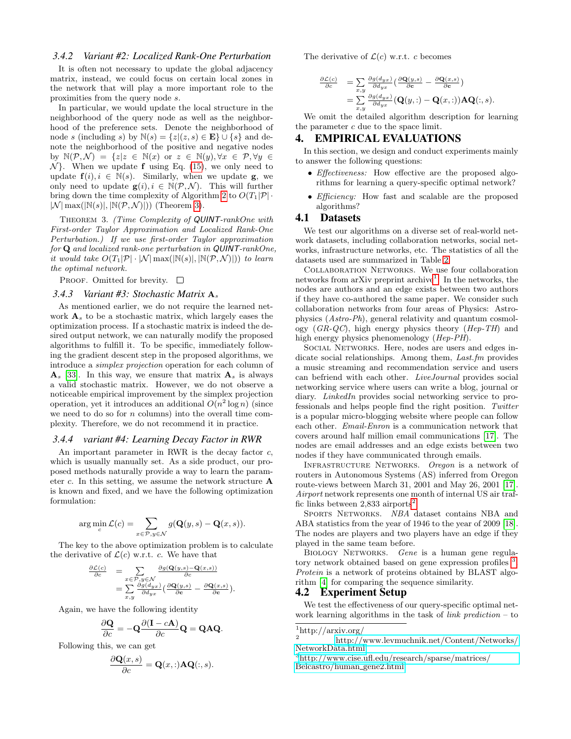#### *3.4.2 Variant #2: Localized Rank-One Perturbation*

It is often not necessary to update the global adjacency matrix, instead, we could focus on certain local zones in the network that will play a more important role to the proximities from the query node s.

In particular, we would update the local structure in the neighborhood of the query node as well as the neighborhood of the preference sets. Denote the neighborhood of node s (including s) by  $\mathbb{N}(s) = \{z | (z, s) \in \mathbf{E}\} \cup \{s\}$  and denote the neighborhood of the positive and negative nodes by  $\mathbb{N}(\mathcal{P}, \mathcal{N}) = \{z | z \in \mathbb{N}(x) \text{ or } z \in \mathbb{N}(y), \forall x \in \mathcal{P}, \forall y \in \mathcal{P}\}$  $\mathcal{N}$ . When we update f using Eq. [\(15\)](#page-4-0), we only need to update  $f(i), i \in \mathbb{N}(s)$ . Similarly, when we update  $g$ , we only need to update  $g(i), i \in \mathbb{N}(\mathcal{P}, \mathcal{N})$ . This will further bring down the time complexity of Algorithm [2](#page-4-1) to  $O(T_1|\mathcal{P}|\cdot)$  $|\mathcal{N}|$  max $(|\mathbb{N}(s)|, |\mathbb{N}(\mathcal{P}, \mathcal{N})|)$  (Theorem [3\)](#page-5-2).

<span id="page-5-2"></span>THEOREM 3. (Time Complexity of QUINT-rankOne with First-order Taylor Approximation and Localized Rank-One Perturbation.) If we use first-order Taylor approximation for Q and localized rank-one perturbation in QUINT-rankOne, it would take  $O(T_1|\mathcal{P}|\cdot|\mathcal{N}|\max(|\mathbb{N}(s)|, |\mathbb{N}(\mathcal{P},\mathcal{N})|))$  to learn the optimal network.

PROOF. Omitted for brevity.  $\square$ 

#### <span id="page-5-1"></span>*3.4.3 Variant #3: Stochastic Matrix* A<sup>s</sup>

As mentioned earlier, we do not require the learned network  $A_s$  to be a stochastic matrix, which largely eases the optimization process. If a stochastic matrix is indeed the desired output network, we can naturally modify the proposed algorithms to fulfill it. To be specific, immediately following the gradient descent step in the proposed algorithms, we introduce a simplex projection operation for each column of  $A_s$  [\[33\]](#page-9-17). In this way, we ensure that matrix  $A_s$  is always a valid stochastic matrix. However, we do not observe a noticeable empirical improvement by the simplex projection operation, yet it introduces an additional  $O(n^2 \log n)$  (since we need to do so for  $n$  columns) into the overall time complexity. Therefore, we do not recommend it in practice.

#### *3.4.4 variant #4: Learning Decay Factor in RWR*

An important parameter in RWR is the decay factor c, which is usually manually set. As a side product, our proposed methods naturally provide a way to learn the parameter c. In this setting, we assume the network structure  $A$ is known and fixed, and we have the following optimization formulation:

$$
\arg\min_{c} \mathcal{L}(c) = \sum_{x \in \mathcal{P}, y \in \mathcal{N}} g(\mathbf{Q}(y, s) - \mathbf{Q}(x, s)).
$$

The key to the above optimization problem is to calculate the derivative of  $\mathcal{L}(c)$  w.r.t. c. We have that

$$
\begin{array}{rcl}\n\frac{\partial \mathcal{L}(c)}{\partial c} & = & \sum_{x \in \mathcal{P}, y \in \mathcal{N}} \frac{\partial g(\mathbf{Q}(y, s) - \mathbf{Q}(x, s))}{\partial c} \\
& = & \sum_{x, y} \frac{\partial g(d_{yx})}{\partial d_{yx}} \left( \frac{\partial \mathbf{Q}(y, s)}{\partial c} - \frac{\partial \mathbf{Q}(x, s)}{\partial c} \right).\n\end{array}
$$

Again, we have the following identity

$$
\frac{\partial \mathbf{Q}}{\partial c} = -\mathbf{Q} \frac{\partial (\mathbf{I} - c\mathbf{A})}{\partial c} \mathbf{Q} = \mathbf{Q} \mathbf{A} \mathbf{Q}.
$$

Following this, we can get

$$
\frac{\partial \mathbf{Q}(x,s)}{\partial c} = \mathbf{Q}(x,:)\mathbf{AQ}(:,s).
$$

The derivative of  $\mathcal{L}(c)$  w.r.t. c becomes

$$
\frac{\partial \mathcal{L}(c)}{\partial c} = \sum_{x,y} \frac{\partial g(d_{yx})}{\partial d_{yx}} \left( \frac{\partial \mathbf{Q}(y,s)}{\partial c} - \frac{\partial \mathbf{Q}(x,s)}{\partial c} \right)
$$
  
= 
$$
\sum_{x,y} \frac{\partial g(d_{yx})}{\partial d_{yx}} (\mathbf{Q}(y,:) - \mathbf{Q}(x,:)) \mathbf{A} \mathbf{Q}(:,s).
$$

We omit the detailed algorithm description for learning the parameter  $c$  due to the space limit.

# <span id="page-5-0"></span>4. EMPIRICAL EVALUATIONS

In this section, we design and conduct experiments mainly to answer the following questions:

- Effectiveness: How effective are the proposed algorithms for learning a query-specific optimal network?
- *Efficiency:* How fast and scalable are the proposed algorithms?

# 4.1 Datasets

We test our algorithms on a diverse set of real-world network datasets, including collaboration networks, social networks, infrastructure networks, etc. The statistics of all the datasets used are summarized in Table [2.](#page-6-1)

Collaboration Networks. We use four collaboration networks from arXiv preprint archive<sup>[1](#page-5-3)</sup>. In the networks, the nodes are authors and an edge exists between two authors if they have co-authored the same paper. We consider such collaboration networks from four areas of Physics: Astrophysics (Astro-Ph), general relativity and quantum cosmology  $(GR-QC)$ , high energy physics theory  $(Hep-TH)$  and high energy physics phenomenology (Hep-PH).

SOCIAL NETWORKS. Here, nodes are users and edges indicate social relationships. Among them, *Last.fm* provides a music streaming and recommendation service and users can befriend with each other. LiveJournal provides social networking service where users can write a blog, journal or diary. *LinkedIn* provides social networking service to professionals and helps people find the right position. Twitter is a popular micro-blogging website where people can follow each other. Email-Enron is a communication network that covers around half million email communications [\[17\]](#page-9-18). The nodes are email addresses and an edge exists between two nodes if they have communicated through emails.

INFRASTRUCTURE NETWORKS. Oregon is a network of routers in Autonomous Systems (AS) inferred from Oregon route-views between March 31, 2001 and May 26, 2001 [\[17\]](#page-9-18). Airport network represents one month of internal US air traffic links between  $2,833$  $2,833$  airports<sup>2</sup>.

SPORTS NETWORKS. NBA dataset contains NBA and ABA statistics from the year of 1946 to the year of 2009 [\[18\]](#page-9-19). The nodes are players and two players have an edge if they played in the same team before.

BIOLOGY NETWORKS. Gene is a human gene regulatory network obtained based on gene expression profiles  $3$ . Protein is a network of proteins obtained by BLAST algorithm [\[4\]](#page-9-20) for comparing the sequence similarity.

#### 4.2 Experiment Setup

We test the effectiveness of our query-specific optimal network learning algorithms in the task of *link prediction* – to

<span id="page-5-3"></span> $\frac{1}{2}$ http://arxiv.org/

<span id="page-5-4"></span><sup>2</sup> [http://www.levmuchnik.net/Content/Networks/](http://www.levmuchnik.net/Content/Networks/NetworkData.html) [NetworkData.html](http://www.levmuchnik.net/Content/Networks/NetworkData.html)

<span id="page-5-5"></span><sup>3</sup>[http://www.cise.ufl.edu/research/sparse/matrices/](http://www.cise.ufl.edu/research/sparse/matrices/Belcastro/human_gene2.html) [Belcastro/human](http://www.cise.ufl.edu/research/sparse/matrices/Belcastro/human_gene2.html) gene2.html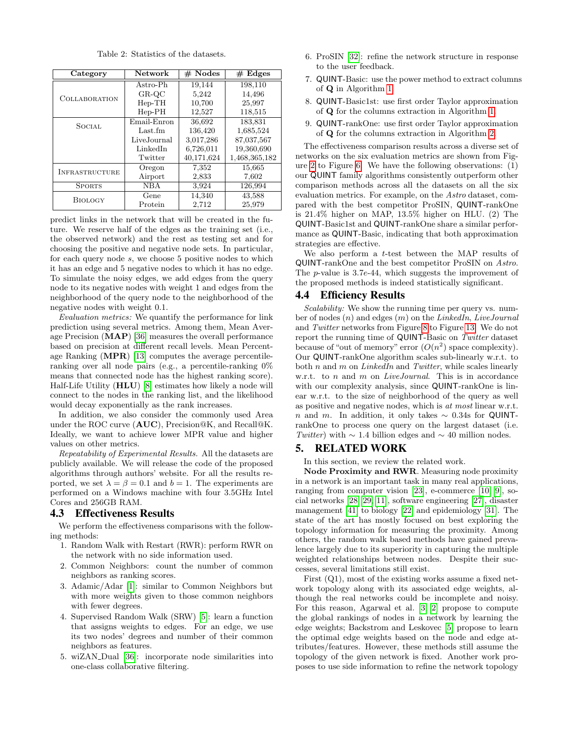Table 2: Statistics of the datasets.

<span id="page-6-1"></span>

| Category              | Network     | $#$ Nodes  | # Edges       |
|-----------------------|-------------|------------|---------------|
| <b>COLLABORATION</b>  | Astro-Ph    | 19.144     | 198,110       |
|                       | $GR-OC$     | 5,242      | 14,496        |
|                       | $Hep-TH$    | 10,700     | 25,997        |
|                       | $Hep-PH$    | 12,527     | 118,515       |
| <b>SOCIAL</b>         | Email-Enron | 36,692     | 183,831       |
|                       | Last.fm     | 136,420    | 1,685,524     |
|                       | LiveJournal | 3,017,286  | 87,037,567    |
|                       | LinkedIn    | 6,726,011  | 19,360,690    |
|                       | Twitter     | 40,171,624 | 1,468,365,182 |
| <b>INFRASTRUCTURE</b> | Oregon      | 7,352      | 15,665        |
|                       | Airport     | 2,833      | 7,602         |
| <b>SPORTS</b>         | NBA         | 3.924      | 126,994       |
| <b>BIOLOGY</b>        | Gene        | 14,340     | 43,588        |
|                       | Protein     | 2,712      | 25,979        |

predict links in the network that will be created in the future. We reserve half of the edges as the training set (i.e., the observed network) and the rest as testing set and for choosing the positive and negative node sets. In particular, for each query node s, we choose 5 positive nodes to which it has an edge and 5 negative nodes to which it has no edge. To simulate the noisy edges, we add edges from the query node to its negative nodes with weight 1 and edges from the neighborhood of the query node to the neighborhood of the negative nodes with weight 0.1.

Evaluation metrics: We quantify the performance for link prediction using several metrics. Among them, Mean Average Precision (MAP) [\[36\]](#page-9-21) measures the overall performance based on precision at different recall levels. Mean Percentage Ranking (MPR) [\[13\]](#page-9-22) computes the average percentileranking over all node pairs (e.g., a percentile-ranking 0% means that connected node has the highest ranking score). Half-Life Utility (HLU) [\[8\]](#page-9-23) estimates how likely a node will connect to the nodes in the ranking list, and the likelihood would decay exponentially as the rank increases.

In addition, we also consider the commonly used Area under the ROC curve (AUC), Precision@K, and Recall@K. Ideally, we want to achieve lower MPR value and higher values on other metrics.

Repeatability of Experimental Results. All the datasets are publicly available. We will release the code of the proposed algorithms through authors' website. For all the results reported, we set  $\lambda = \beta = 0.1$  and  $b = 1$ . The experiments are performed on a Windows machine with four 3.5GHz Intel Cores and 256GB RAM.

# 4.3 Effectiveness Results

We perform the effectiveness comparisons with the following methods:

- 1. Random Walk with Restart (RWR): perform RWR on the network with no side information used.
- 2. Common Neighbors: count the number of common neighbors as ranking scores.
- 3. Adamic/Adar [\[1\]](#page-8-2): similar to Common Neighbors but with more weights given to those common neighbors with fewer degrees.
- 4. Supervised Random Walk (SRW) [\[5\]](#page-9-9): learn a function that assigns weights to edges. For an edge, we use its two nodes' degrees and number of their common neighbors as features.
- 5. wiZAN Dual [\[36\]](#page-9-21): incorporate node similarities into one-class collaborative filtering.
- 6. ProSIN [\[32\]](#page-9-12): refine the network structure in response to the user feedback.
- 7. QUINT-Basic: use the power method to extract columns of Q in Algorithm [1.](#page-3-1)
- 8. QUINT-Basic1st: use first order Taylor approximation of Q for the columns extraction in Algorithm [1.](#page-3-1)
- 9. QUINT-rankOne: use first order Taylor approximation of Q for the columns extraction in Algorithm [2.](#page-4-1)

The effectiveness comparison results across a diverse set of networks on the six evaluation metrics are shown from Figure [2](#page-7-0) to Figure [6.](#page-7-1) We have the following observations: (1) our QUINT family algorithms consistently outperform other comparison methods across all the datasets on all the six evaluation metrics. For example, on the Astro dataset, compared with the best competitor ProSIN, QUINT-rankOne is 21.4% higher on MAP, 13.5% higher on HLU. (2) The QUINT-Basic1st and QUINT-rankOne share a similar performance as QUINT-Basic, indicating that both approximation strategies are effective.

We also perform a t-test between the MAP results of QUINT-rankOne and the best competitor ProSIN on Astro. The p-value is 3.7e-44, which suggests the improvement of the proposed methods is indeed statistically significant.

#### 4.4 Efficiency Results

Scalability: We show the running time per query vs. number of nodes  $(n)$  and edges  $(m)$  on the LinkedIn, LiveJournal and Twitter networks from Figure [8](#page-8-3) to Figure [13.](#page-8-4) We do not report the running time of QUINT-Basic on Twitter dataset because of "out of memory" error  $(O(n^2))$  space complexity). Our QUINT-rankOne algorithm scales sub-linearly w.r.t. to both  $n$  and  $m$  on LinkedIn and Twitter, while scales linearly w.r.t. to n and m on *LiveJournal*. This is in accordance with our complexity analysis, since QUINT-rankOne is linear w.r.t. to the size of neighborhood of the query as well as positive and negative nodes, which is at most linear w.r.t. n and m. In addition, it only takes  $\sim$  0.34s for QUINTrankOne to process one query on the largest dataset (i.e. Twitter) with  $\sim$  1.4 billion edges and  $\sim$  40 million nodes.

# <span id="page-6-0"></span>5. RELATED WORK

In this section, we review the related work.

Node Proximity and RWR. Measuring node proximity in a network is an important task in many real applications, ranging from computer vision [\[23\]](#page-9-0), e-commerce [\[10,](#page-9-1) [9\]](#page-9-2), social networks [\[28,](#page-9-3) [29,](#page-9-4) [11\]](#page-9-24), software engineering [\[27\]](#page-9-5), disaster management [\[41\]](#page-9-6) to biology [\[22\]](#page-9-7) and epidemiology [\[31\]](#page-9-8). The state of the art has mostly focused on best exploring the topology information for measuring the proximity. Among others, the random walk based methods have gained prevalence largely due to its superiority in capturing the multiple weighted relationships between nodes. Despite their successes, several limitations still exist.

First  $(Q1)$ , most of the existing works assume a fixed network topology along with its associated edge weights, although the real networks could be incomplete and noisy. For this reason, Agarwal et al. [\[3,](#page-9-10) [2\]](#page-8-0) propose to compute the global rankings of nodes in a network by learning the edge weights; Backstrom and Leskovec [\[5\]](#page-9-9) propose to learn the optimal edge weights based on the node and edge attributes/features. However, these methods still assume the topology of the given network is fixed. Another work proposes to use side information to refine the network topology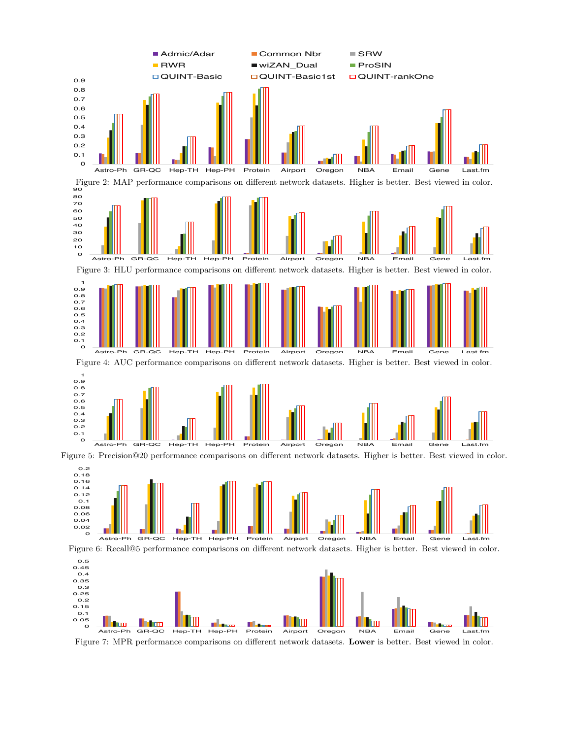<span id="page-7-0"></span>

<span id="page-7-1"></span>Figure 7: MPR performance comparisons on different network datasets. Lower is better. Best viewed in color.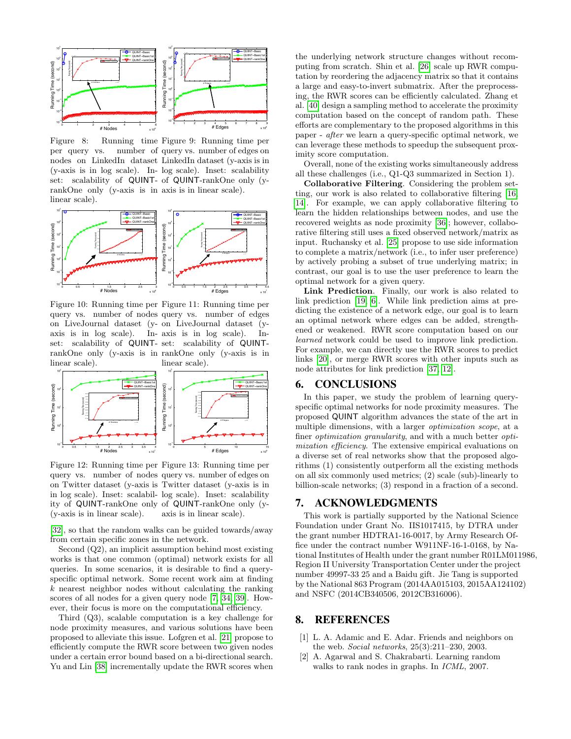<span id="page-8-3"></span>

Figure 8: Running time Figure 9: Running time per per query vs. nodes on LinkedIn dataset LinkedIn dataset (y-axis is in (y-axis is in log scale). In-log scale). Inset: scalability set: scalability of QUINT- of QUINT-rankOne only (yrankOne only (y-axis is in axis is in linear scale). linear scale). number of query vs. number of edges on



linear scale).

Figure 10: Running time per Figure 11: Running time per query vs. number of nodes query vs. number of edges on LiveJournal dataset (y-on LiveJournal dataset (yaxis is in log scale). In-axis is in log scale). Inset: scalability of QUINT-set: scalability of QUINTrankOne only (y-axis is in rankOne only (y-axis is in linear scale).

<span id="page-8-4"></span>

Figure 12: Running time per Figure 13: Running time per query vs. number of nodes query vs. number of edges on on Twitter dataset (y-axis is Twitter dataset (y-axis is in in log scale). Inset: scalabil-log scale). Inset: scalability ity of QUINT-rankOne only of QUINT-rankOne only (y-(y-axis is in linear scale). axis is in linear scale).

[\[32\]](#page-9-12), so that the random walks can be guided towards/away from certain specific zones in the network.

Second (Q2), an implicit assumption behind most existing works is that one common (optimal) network exists for all queries. In some scenarios, it is desirable to find a queryspecific optimal network. Some recent work aim at finding k nearest neighbor nodes without calculating the ranking scores of all nodes for a given query node [\[7,](#page-9-25) [34,](#page-9-26) [39\]](#page-9-27). However, their focus is more on the computational efficiency.

Third (Q3), scalable computation is a key challenge for node proximity measures, and various solutions have been proposed to alleviate this issue. Lofgren et al. [\[21\]](#page-9-28) propose to efficiently compute the RWR score between two given nodes under a certain error bound based on a bi-directional search. Yu and Lin [\[38\]](#page-9-29) incrementally update the RWR scores when the underlying network structure changes without recomputing from scratch. Shin et al. [\[26\]](#page-9-30) scale up RWR computation by reordering the adjacency matrix so that it contains a large and easy-to-invert submatrix. After the preprocessing, the RWR scores can be efficiently calculated. Zhang et al. [\[40\]](#page-9-31) design a sampling method to accelerate the proximity computation based on the concept of random path. These efforts are complementary to the proposed algorithms in this paper - after we learn a query-specific optimal network, we can leverage these methods to speedup the subsequent proximity score computation.

Overall, none of the existing works simultaneously address all these challenges (i.e., Q1-Q3 summarized in Section 1).

Collaborative Filtering. Considering the problem setting, our work is also related to collaborative filtering [\[16,](#page-9-32) [14\]](#page-9-33). For example, we can apply collaborative filtering to learn the hidden relationships between nodes, and use the recovered weights as node proximity [\[36\]](#page-9-21); however, collaborative filtering still uses a fixed observed network/matrix as input. Ruchansky et al. [\[25\]](#page-9-34) propose to use side information to complete a matrix/network (i.e., to infer user preference) by actively probing a subset of true underlying matrix; in contrast, our goal is to use the user preference to learn the optimal network for a given query.

Link Prediction. Finally, our work is also related to link prediction [\[19,](#page-9-35) [6\]](#page-9-36). While link prediction aims at predicting the existence of a network edge, our goal is to learn an optimal network where edges can be added, strengthened or weakened. RWR score computation based on our learned network could be used to improve link prediction. For example, we can directly use the RWR scores to predict links [\[20\]](#page-9-37), or merge RWR scores with other inputs such as node attributes for link prediction [\[37,](#page-9-38) [12\]](#page-9-39).

# <span id="page-8-1"></span>6. CONCLUSIONS

In this paper, we study the problem of learning queryspecific optimal networks for node proximity measures. The proposed QUINT algorithm advances the state of the art in multiple dimensions, with a larger optimization scope, at a finer optimization granularity, and with a much better optimization efficiency. The extensive empirical evaluations on a diverse set of real networks show that the proposed algorithms (1) consistently outperform all the existing methods on all six commonly used metrics; (2) scale (sub)-linearly to billion-scale networks; (3) respond in a fraction of a second.

# 7. ACKNOWLEDGMENTS

This work is partially supported by the National Science Foundation under Grant No. IIS1017415, by DTRA under the grant number HDTRA1-16-0017, by Army Research Office under the contract number W911NF-16-1-0168, by National Institutes of Health under the grant number R01LM011986, Region II University Transportation Center under the project number 49997-33 25 and a Baidu gift. Jie Tang is supported by the National 863 Program (2014AA015103, 2015AA124102) and NSFC (2014CB340506, 2012CB316006).

# 8. REFERENCES

- <span id="page-8-2"></span>[1] L. A. Adamic and E. Adar. Friends and neighbors on the web. Social networks, 25(3):211–230, 2003.
- <span id="page-8-0"></span>[2] A. Agarwal and S. Chakrabarti. Learning random walks to rank nodes in graphs. In ICML, 2007.